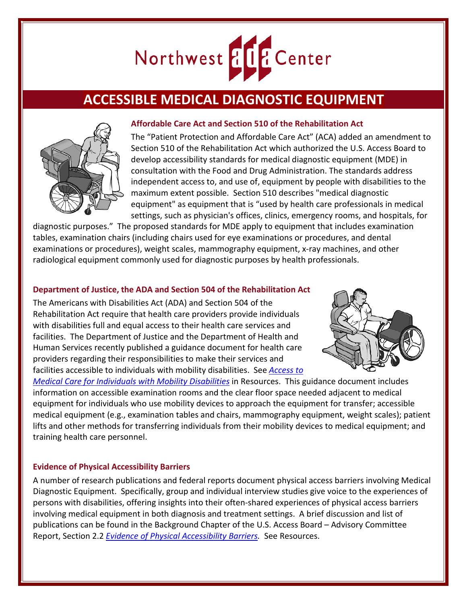

# **ACCESSIBLE MEDICAL DIAGNOSTIC EQUIPMENT**



### **Affordable Care Act and Section 510 of the Rehabilitation Act**

The "Patient Protection and Affordable Care Act" (ACA) added an amendment to Section 510 of the Rehabilitation Act which authorized the U.S. Access Board to develop accessibility standards for medical diagnostic equipment (MDE) in consultation with the Food and Drug Administration. The standards address independent access to, and use of, equipment by people with disabilities to the maximum extent possible. Section 510 describes "medical diagnostic equipment" as equipment that is "used by health care professionals in medical settings, such as physician's offices, clinics, emergency rooms, and hospitals, for

diagnostic purposes." The proposed standards for MDE apply to equipment that includes examination tables, examination chairs (including chairs used for eye examinations or procedures, and dental examinations or procedures), weight scales, mammography equipment, x-ray machines, and other radiological equipment commonly used for diagnostic purposes by health professionals.

### **Department of Justice, the ADA and Section 504 of the Rehabilitation Act**

The Americans with Disabilities Act (ADA) and Section 504 of the Rehabilitation Act require that health care providers provide individuals with disabilities full and equal access to their health care services and facilities. The Department of Justice and the Department of Health and Human Services recently published a guidance document for health care providers regarding their responsibilities to make their services and facilities accessible to individuals with mobility disabilities. See *[Access to](http://www.ada.gov/medcare_ta.htm)* 



*[Medical Care for Individuals with Mobility Disabilities](http://www.ada.gov/medcare_ta.htm)* in Resources. This guidance document includes information on accessible examination rooms and the clear floor space needed adjacent to medical equipment for individuals who use mobility devices to approach the equipment for transfer; accessible medical equipment (e.g., examination tables and chairs, mammography equipment, weight scales); patient lifts and other methods for transferring individuals from their mobility devices to medical equipment; and training health care personnel.

#### **Evidence of Physical Accessibility Barriers**

A number of research publications and federal reports document physical access barriers involving Medical Diagnostic Equipment. Specifically, group and individual interview studies give voice to the experiences of persons with disabilities, offering insights into their often-shared experiences of physical access barriers involving medical equipment in both diagnosis and treatment settings. A brief discussion and list of publications can be found in the Background Chapter of the U.S. Access Board – Advisory Committee Report, Section 2.2 *[Evidence of Physical Accessibility Barriers.](http://www.access-board.gov/guidelines-and-standards/health-care/about-this-rulemaking/advisory-committee-final-report/2-background)* See Resources.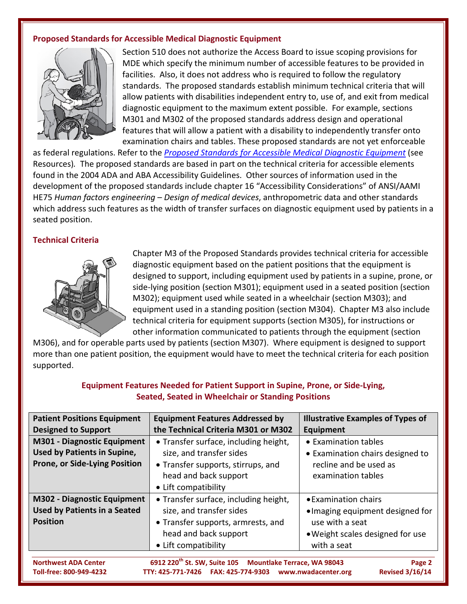## **Proposed Standards for Accessible Medical Diagnostic Equipment**



Section 510 does not authorize the Access Board to issue scoping provisions for MDE which specify the minimum number of accessible features to be provided in facilities. Also, it does not address who is required to follow the regulatory standards. The proposed standards establish minimum technical criteria that will allow patients with disabilities independent entry to, use of, and exit from medical diagnostic equipment to the maximum extent possible. For example, sections M301 and M302 of the proposed standards address design and operational features that will allow a patient with a disability to independently transfer onto examination chairs and tables. These proposed standards are not yet enforceable

as federal regulations. Refer to the *[Proposed Standards for Accessible Medical Diagnostic Equipment](http://www.access-board.gov/guidelines-and-standards/health-care/about-this-rulemaking/proposed-standards/text-of-the-proposed-standards))* (see Resources)*.* The proposed standards are based in part on the technical criteria for accessible elements found in the 2004 ADA and ABA Accessibility Guidelines. Other sources of information used in the development of the proposed standards include chapter 16 "Accessibility Considerations" of ANSI/AAMI HE75 *Human factors engineering – Design of medical devices*, anthropometric data and other standards which address such features as the width of transfer surfaces on diagnostic equipment used by patients in a seated position.

### **Technical Criteria**



Chapter M3 of the Proposed Standards provides technical criteria for accessible diagnostic equipment based on the patient positions that the equipment is designed to support, including equipment used by patients in a supine, prone, or side-lying position (section M301); equipment used in a seated position (section M302); equipment used while seated in a wheelchair (section M303); and equipment used in a standing position (section M304). Chapter M3 also include technical criteria for equipment supports (section M305), for instructions or other information communicated to patients through the equipment (section

M306), and for operable parts used by patients (section M307). Where equipment is designed to support more than one patient position, the equipment would have to meet the technical criteria for each position supported.

| <b>Patient Positions Equipment</b>                                                                                      | <b>Equipment Features Addressed by</b> | <b>Illustrative Examples of Types of</b> |
|-------------------------------------------------------------------------------------------------------------------------|----------------------------------------|------------------------------------------|
| <b>Designed to Support</b>                                                                                              | the Technical Criteria M301 or M302    | Equipment                                |
| <b>M301 - Diagnostic Equipment</b>                                                                                      | • Transfer surface, including height,  | • Examination tables                     |
| <b>Used by Patients in Supine,</b>                                                                                      | size, and transfer sides               | • Examination chairs designed to         |
| Prone, or Side-Lying Position                                                                                           | • Transfer supports, stirrups, and     | recline and be used as                   |
|                                                                                                                         | head and back support                  | examination tables                       |
|                                                                                                                         | • Lift compatibility                   |                                          |
| <b>M302 - Diagnostic Equipment</b>                                                                                      | • Transfer surface, including height,  | • Examination chairs                     |
| <b>Used by Patients in a Seated</b>                                                                                     | size, and transfer sides               | . Imaging equipment designed for         |
| <b>Position</b>                                                                                                         | • Transfer supports, armrests, and     | use with a seat                          |
|                                                                                                                         | head and back support                  | . Weight scales designed for use         |
|                                                                                                                         | • Lift compatibility                   | with a seat                              |
|                                                                                                                         |                                        |                                          |
| 6912 220 <sup>th</sup> St. SW, Suite 105<br><b>Mountlake Terrace, WA 98043</b><br><b>Northwest ADA Center</b><br>Page 2 |                                        |                                          |
| <b>Revised 3/16/14</b><br>Toll-free: 800-949-4232                                                                       |                                        |                                          |

# **Equipment Features Needed for Patient Support in Supine, Prone, or Side-Lying, Seated, Seated in Wheelchair or Standing Positions**